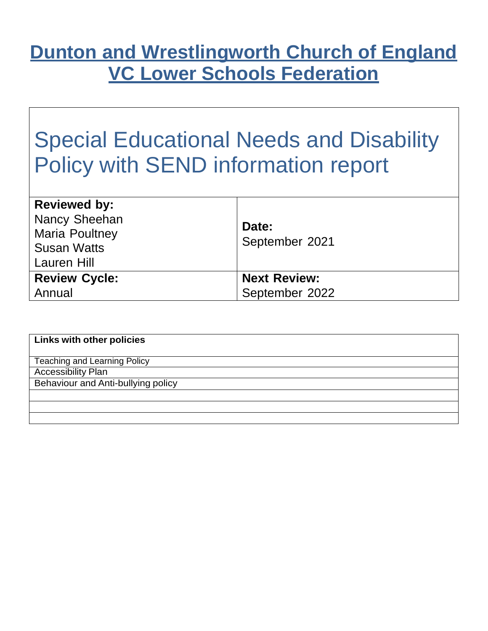## **Dunton and Wrestlingworth Church of England VC Lower Schools Federation**

# Special Educational Needs and Disability Policy with SEND information report

| <b>Reviewed by:</b><br>Nancy Sheehan<br><b>Maria Poultney</b><br><b>Susan Watts</b><br>Lauren Hill | Date:<br>September 2021 |
|----------------------------------------------------------------------------------------------------|-------------------------|
| <b>Review Cycle:</b>                                                                               | <b>Next Review:</b>     |
| Annual                                                                                             | September 2022          |

| <b>Links with other policies</b>    |
|-------------------------------------|
| <b>Teaching and Learning Policy</b> |
| <b>Accessibility Plan</b>           |
| Behaviour and Anti-bullying policy  |
|                                     |
|                                     |
|                                     |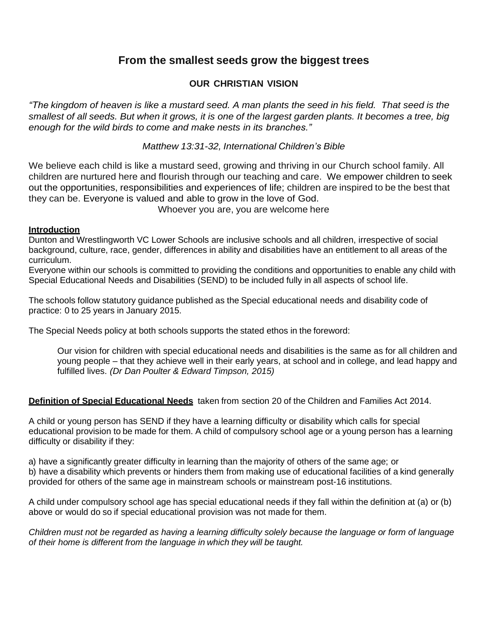#### **From the smallest seeds grow the biggest trees**

#### **OUR CHRISTIAN VISION**

"The kingdom of heaven is like a mustard seed. A man plants the seed in his field. That seed is the smallest of all seeds. But when it grows, it is one of the largest garden plants. It becomes a tree, big *enough for the wild birds to come and make nests in its branches."*

*Matthew 13:31-32, International Children's Bible*

We believe each child is like a mustard seed, growing and thriving in our Church school family. All children are nurtured here and flourish through our teaching and care. We empower children to seek out the opportunities, responsibilities and experiences of life; children are inspired to be the best that they can be. Everyone is valued and able to grow in the love of God.

Whoever you are, you are welcome here

#### **Introduction**

Dunton and Wrestlingworth VC Lower Schools are inclusive schools and all children, irrespective of social background, culture, race, gender, differences in ability and disabilities have an entitlement to all areas of the curriculum.

Everyone within our schools is committed to providing the conditions and opportunities to enable any child with Special Educational Needs and Disabilities (SEND) to be included fully in all aspects of school life.

The schools follow statutory guidance published as the Special educational needs and disability code of practice: 0 to 25 years in January 2015.

The Special Needs policy at both schools supports the stated ethos in the foreword:

Our vision for children with special educational needs and disabilities is the same as for all children and young people – that they achieve well in their early years, at school and in college, and lead happy and fulfilled lives. *(Dr Dan Poulter & Edward Timpson, 2015)*

#### **Definition of Special Educational Needs** taken from section 20 of the Children and Families Act 2014.

A child or young person has SEND if they have a learning difficulty or disability which calls for special educational provision to be made for them. A child of compulsory school age or a young person has a learning difficulty or disability if they:

a) have a significantly greater difficulty in learning than the majority of others of the same age; or b) have a disability which prevents or hinders them from making use of educational facilities of a kind generally provided for others of the same age in mainstream schools or mainstream post-16 institutions.

A child under compulsory school age has special educational needs if they fall within the definition at (a) or (b) above or would do so if special educational provision was not made for them.

*Children must not be regarded as having a learning difficulty solely because the language or form of language of their home is different from the language in which they will be taught.*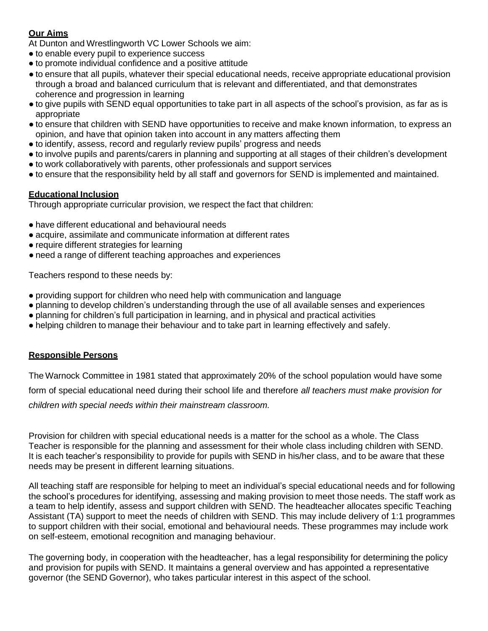#### **Our Aims**

At Dunton and Wrestlingworth VC Lower Schools we aim:

- to enable every pupil to experience success
- to promote individual confidence and a positive attitude
- to ensure that all pupils, whatever their special educational needs, receive appropriate educational provision through a broad and balanced curriculum that is relevant and differentiated, and that demonstrates coherence and progression in learning
- to give pupils with SEND equal opportunities to take part in all aspects of the school's provision, as far as is appropriate
- to ensure that children with SEND have opportunities to receive and make known information, to express an opinion, and have that opinion taken into account in any matters affecting them
- to identify, assess, record and regularly review pupils' progress and needs
- to involve pupils and parents/carers in planning and supporting at all stages of their children's development
- to work collaboratively with parents, other professionals and support services
- to ensure that the responsibility held by all staff and governors for SEND is implemented and maintained.

#### **Educational Inclusion**

Through appropriate curricular provision, we respect the fact that children:

- have different educational and behavioural needs
- acquire, assimilate and communicate information at different rates
- require different strategies for learning
- need a range of different teaching approaches and experiences

Teachers respond to these needs by:

- providing support for children who need help with communication and language
- planning to develop children's understanding through the use of all available senses and experiences
- planning for children's full participation in learning, and in physical and practical activities
- helping children to manage their behaviour and to take part in learning effectively and safely.

#### **Responsible Persons**

The Warnock Committee in 1981 stated that approximately 20% of the school population would have some form of special educational need during their school life and therefore *all teachers must make provision for children with special needs within their mainstream classroom.*

Provision for children with special educational needs is a matter for the school as a whole. The Class Teacher is responsible for the planning and assessment for their whole class including children with SEND. It is each teacher's responsibility to provide for pupils with SEND in his/her class, and to be aware that these needs may be present in different learning situations.

All teaching staff are responsible for helping to meet an individual's special educational needs and for following the school's procedures for identifying, assessing and making provision to meet those needs. The staff work as a team to help identify, assess and support children with SEND. The headteacher allocates specific Teaching Assistant (TA) support to meet the needs of children with SEND. This may include delivery of 1:1 programmes to support children with their social, emotional and behavioural needs. These programmes may include work on self-esteem, emotional recognition and managing behaviour.

The governing body, in cooperation with the headteacher, has a legal responsibility for determining the policy and provision for pupils with SEND. It maintains a general overview and has appointed a representative governor (the SEND Governor), who takes particular interest in this aspect of the school.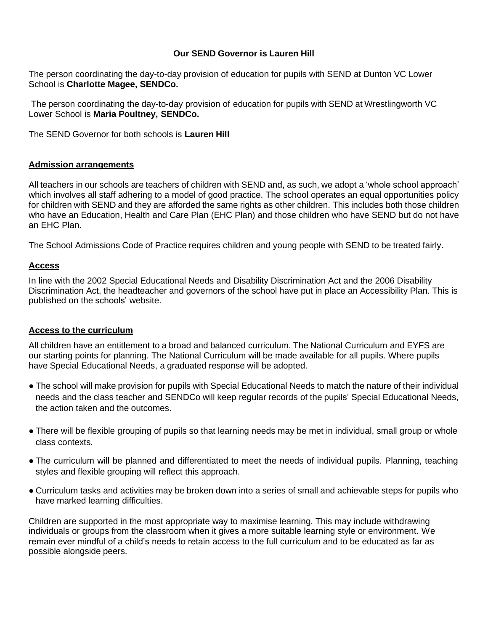#### **Our SEND Governor is Lauren Hill**

The person coordinating the day-to-day provision of education for pupils with SEND at Dunton VC Lower School is **Charlotte Magee, SENDCo.**

The person coordinating the day-to-day provision of education for pupils with SEND at Wrestlingworth VC Lower School is **Maria Poultney, SENDCo.**

The SEND Governor for both schools is **Lauren Hill**

#### **Admission arrangements**

All teachers in our schools are teachers of children with SEND and, as such, we adopt a 'whole school approach' which involves all staff adhering to a model of good practice. The school operates an equal opportunities policy for children with SEND and they are afforded the same rights as other children. This includes both those children who have an Education, Health and Care Plan (EHC Plan) and those children who have SEND but do not have an EHC Plan.

The School Admissions Code of Practice requires children and young people with SEND to be treated fairly.

#### **Access**

In line with the 2002 Special Educational Needs and Disability Discrimination Act and the 2006 Disability Discrimination Act, the headteacher and governors of the school have put in place an Accessibility Plan. This is published on the schools' website.

#### **Access to the curriculum**

All children have an entitlement to a broad and balanced curriculum. The National Curriculum and EYFS are our starting points for planning. The National Curriculum will be made available for all pupils. Where pupils have Special Educational Needs, a graduated response will be adopted.

- The school will make provision for pupils with Special Educational Needs to match the nature of their individual needs and the class teacher and SENDCo will keep regular records of the pupils' Special Educational Needs, the action taken and the outcomes.
- There will be flexible grouping of pupils so that learning needs may be met in individual, small group or whole class contexts.
- The curriculum will be planned and differentiated to meet the needs of individual pupils. Planning, teaching styles and flexible grouping will reflect this approach.
- Curriculum tasks and activities may be broken down into a series of small and achievable steps for pupils who have marked learning difficulties.

Children are supported in the most appropriate way to maximise learning. This may include withdrawing individuals or groups from the classroom when it gives a more suitable learning style or environment. We remain ever mindful of a child's needs to retain access to the full curriculum and to be educated as far as possible alongside peers.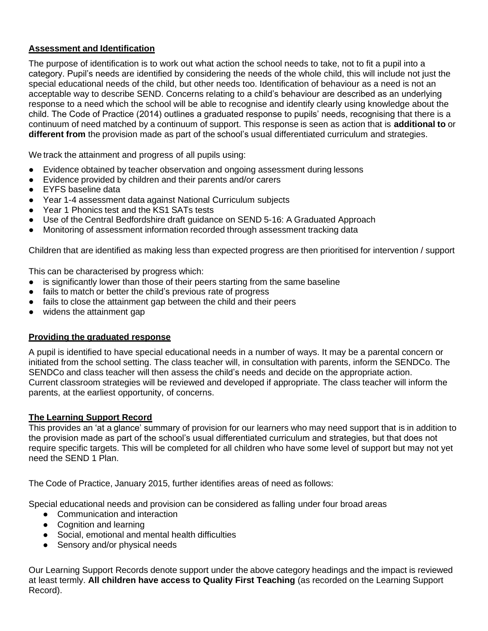#### **Assessment and Identification**

The purpose of identification is to work out what action the school needs to take, not to fit a pupil into a category. Pupil's needs are identified by considering the needs of the whole child, this will include not just the special educational needs of the child, but other needs too. Identification of behaviour as a need is not an acceptable way to describe SEND. Concerns relating to a child's behaviour are described as an underlying response to a need which the school will be able to recognise and identify clearly using knowledge about the child. The Code of Practice (2014) outlines a graduated response to pupils' needs, recognising that there is a continuum of need matched by a continuum of support. This response is seen as action that is **additional to** or **different from** the provision made as part of the school's usual differentiated curriculum and strategies.

We track the attainment and progress of all pupils using:

- Evidence obtained by teacher observation and ongoing assessment during lessons
- Evidence provided by children and their parents and/or carers
- EYFS baseline data
- Year 1-4 assessment data against National Curriculum subjects
- Year 1 Phonics test and the KS1 SATs tests
- Use of the Central Bedfordshire draft guidance on SEND 5-16: A Graduated Approach
- Monitoring of assessment information recorded through assessment tracking data

Children that are identified as making less than expected progress are then prioritised for intervention / support

This can be characterised by progress which:

- is significantly lower than those of their peers starting from the same baseline
- fails to match or better the child's previous rate of progress
- fails to close the attainment gap between the child and their peers
- widens the attainment gap

#### **Providing the graduated response**

A pupil is identified to have special educational needs in a number of ways. It may be a parental concern or initiated from the school setting. The class teacher will, in consultation with parents, inform the SENDCo. The SENDCo and class teacher will then assess the child's needs and decide on the appropriate action. Current classroom strategies will be reviewed and developed if appropriate. The class teacher will inform the parents, at the earliest opportunity, of concerns.

#### **The Learning Support Record**

This provides an 'at a glance' summary of provision for our learners who may need support that is in addition to the provision made as part of the school's usual differentiated curriculum and strategies, but that does not require specific targets. This will be completed for all children who have some level of support but may not yet need the SEND 1 Plan.

The Code of Practice, January 2015, further identifies areas of need as follows:

Special educational needs and provision can be considered as falling under four broad areas

- Communication and interaction
- Cognition and learning
- Social, emotional and mental health difficulties
- Sensory and/or physical needs

Our Learning Support Records denote support under the above category headings and the impact is reviewed at least termly. **All children have access to Quality First Teaching** (as recorded on the Learning Support Record).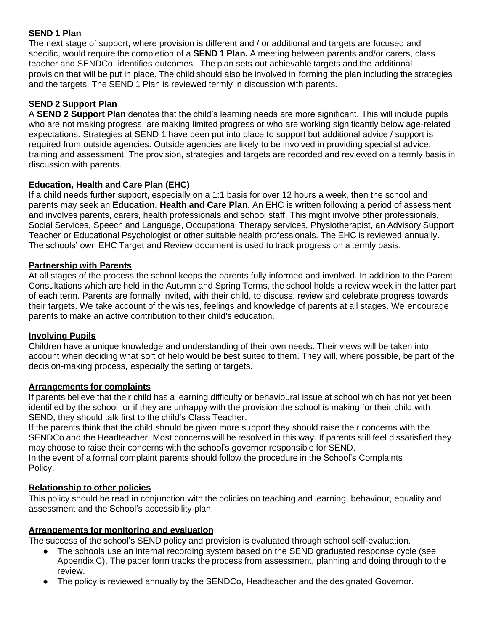#### **SEND 1 Plan**

The next stage of support, where provision is different and / or additional and targets are focused and specific, would require the completion of a **SEND 1 Plan.** A meeting between parents and/or carers, class teacher and SENDCo, identifies outcomes. The plan sets out achievable targets and the additional provision that will be put in place. The child should also be involved in forming the plan including the strategies and the targets. The SEND 1 Plan is reviewed termly in discussion with parents.

#### **SEND 2 Support Plan**

A **SEND 2 Support Plan** denotes that the child's learning needs are more significant. This will include pupils who are not making progress, are making limited progress or who are working significantly below age-related expectations. Strategies at SEND 1 have been put into place to support but additional advice / support is required from outside agencies. Outside agencies are likely to be involved in providing specialist advice, training and assessment. The provision, strategies and targets are recorded and reviewed on a termly basis in discussion with parents.

#### **Education, Health and Care Plan (EHC)**

If a child needs further support, especially on a 1:1 basis for over 12 hours a week, then the school and parents may seek an **Education, Health and Care Plan**. An EHC is written following a period of assessment and involves parents, carers, health professionals and school staff. This might involve other professionals, Social Services, Speech and Language, Occupational Therapy services, Physiotherapist, an Advisory Support Teacher or Educational Psychologist or other suitable health professionals. The EHC is reviewed annually. The schools' own EHC Target and Review document is used to track progress on a termly basis.

#### **Partnership with Parents**

At all stages of the process the school keeps the parents fully informed and involved. In addition to the Parent Consultations which are held in the Autumn and Spring Terms, the school holds a review week in the latter part of each term. Parents are formally invited, with their child, to discuss, review and celebrate progress towards their targets. We take account of the wishes, feelings and knowledge of parents at all stages. We encourage parents to make an active contribution to their child's education.

#### **Involving Pupils**

Children have a unique knowledge and understanding of their own needs. Their views will be taken into account when deciding what sort of help would be best suited to them. They will, where possible, be part of the decision-making process, especially the setting of targets.

#### **Arrangements for complaints**

If parents believe that their child has a learning difficulty or behavioural issue at school which has not yet been identified by the school, or if they are unhappy with the provision the school is making for their child with SEND, they should talk first to the child's Class Teacher.

If the parents think that the child should be given more support they should raise their concerns with the SENDCo and the Headteacher. Most concerns will be resolved in this way. If parents still feel dissatisfied they may choose to raise their concerns with the school's governor responsible for SEND.

In the event of a formal complaint parents should follow the procedure in the School's Complaints Policy.

#### **Relationship to other policies**

This policy should be read in conjunction with the policies on teaching and learning, behaviour, equality and assessment and the School's accessibility plan.

#### **Arrangements for monitoring and evaluation**

The success of the school's SEND policy and provision is evaluated through school self-evaluation.

- The schools use an internal recording system based on the SEND graduated response cycle (see Appendix C). The paper form tracks the process from assessment, planning and doing through to the review.
- The policy is reviewed annually by the SENDCo, Headteacher and the designated Governor.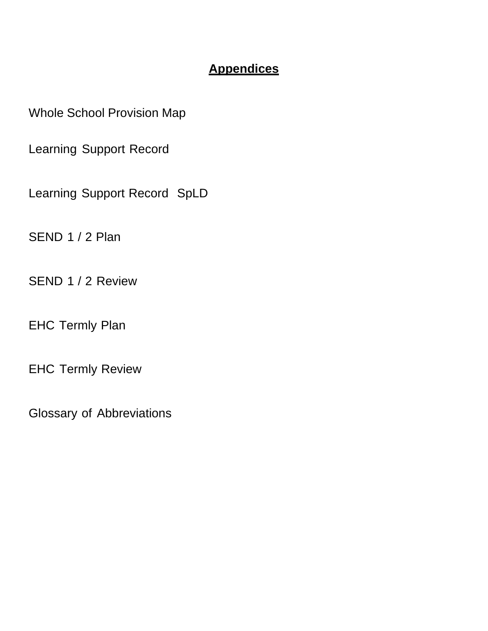## **Appendices**

Whole School Provision Map

Learning Support Record

Learning Support Record SpLD

SEND 1 / 2 Plan

SEND 1 / 2 Review

EHC Termly Plan

EHC Termly Review

Glossary of Abbreviations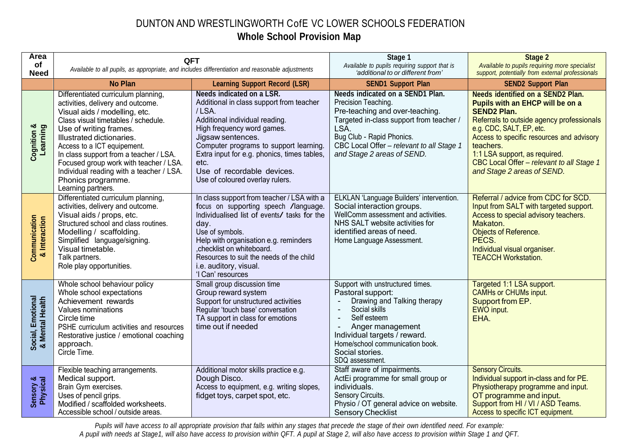### DUNTON AND WRESTLINGWORTH CofE VC LOWER SCHOOLS FEDERATION **Whole School Provision Map**

| Area                                 | <b>QFT</b>                                                                                                                                                                                                                                                                                                                                                                                                                                                                                                                                                                                                        |                                                                                                                                                                                                                                                                                                                                              | Stage 1                                                                                                                                                                                                                                                             | <b>Stage 2</b>                                                                                                                                                                                                                                                                                                                                    |
|--------------------------------------|-------------------------------------------------------------------------------------------------------------------------------------------------------------------------------------------------------------------------------------------------------------------------------------------------------------------------------------------------------------------------------------------------------------------------------------------------------------------------------------------------------------------------------------------------------------------------------------------------------------------|----------------------------------------------------------------------------------------------------------------------------------------------------------------------------------------------------------------------------------------------------------------------------------------------------------------------------------------------|---------------------------------------------------------------------------------------------------------------------------------------------------------------------------------------------------------------------------------------------------------------------|---------------------------------------------------------------------------------------------------------------------------------------------------------------------------------------------------------------------------------------------------------------------------------------------------------------------------------------------------|
| of<br><b>Need</b>                    |                                                                                                                                                                                                                                                                                                                                                                                                                                                                                                                                                                                                                   | Available to all pupils, as appropriate, and includes differentiation and reasonable adjustments                                                                                                                                                                                                                                             | Available to pupils requiring support that is<br>'additional to or different from'                                                                                                                                                                                  | Available to pupils requiring more specialist<br>support, potentially from external professionals                                                                                                                                                                                                                                                 |
|                                      | <b>No Plan</b>                                                                                                                                                                                                                                                                                                                                                                                                                                                                                                                                                                                                    | <b>Learning Support Record (LSR)</b>                                                                                                                                                                                                                                                                                                         | <b>SEND1 Support Plan</b>                                                                                                                                                                                                                                           | <b>SEND2 Support Plan</b>                                                                                                                                                                                                                                                                                                                         |
| Cognition &<br>Learning              | Differentiated curriculum planning,<br>activities, delivery and outcome.<br>Visual aids / modelling, etc.<br>Class visual timetables / schedule.<br>Use of writing frames.<br>Illustrated dictionaries.<br>Access to a ICT equipement.<br>In class support from a teacher / LSA.<br>Focused group work with teacher / LSA.<br>Individual reading with a teacher / LSA.<br>Phonics programme.<br>Learning partners.                                                                                                                                                                                                | <b>Needs indicated on a LSR.</b><br>Additional in class support from teacher<br>/LSA.<br>Additional individual reading.<br>High frequency word games.<br>Jigsaw sentences.<br>Computer programs to support learning.<br>Extra input for e.g. phonics, times tables,<br>etc.<br>Use of recordable devices.<br>Use of coloured overlay rulers. | Needs indicated on a SEND1 Plan.<br>Precision Teaching.<br>Pre-teaching and over-teaching.<br>Targeted in-class support from teacher /<br>LSA.<br>Bug Club - Rapid Phonics.<br>CBC Local Offer - relevant to all Stage 1<br>and Stage 2 areas of SEND.              | <b>Needs identified on a SEND2 Plan.</b><br>Pupils with an EHCP will be on a<br><b>SEND2 Plan.</b><br>Referrals to outside agency professionals<br>e.g. CDC, SALT, EP, etc.<br>Access to specific resources and advisory<br>teachers.<br>1:1 LSA support, as required.<br>CBC Local Offer - relevant to all Stage 1<br>and Stage 2 areas of SEND. |
| Communication<br>& Interaction       | Differentiated curriculum planning,<br>In class support from teacher / LSA with a<br>focus on supporting speech /language.<br>activities, delivery and outcome.<br>Individualised list of events/ tasks for the<br>Visual aids / props, etc.<br>Structured school and class routines.<br>day.<br>Modelling / scaffolding.<br>Use of symbols.<br>Help with organisation e.g. reminders<br>Simplified language/signing.<br>Visual timetable.<br>, checklist on whiteboard.<br>Resources to suit the needs of the child<br>Talk partners.<br>Role play opportunities.<br>i.e. auditory, visual.<br>'I Can' resources |                                                                                                                                                                                                                                                                                                                                              | ELKLAN 'Language Builders' intervention.<br>Social interaction groups.<br>WellComm assessment and activities.<br>NHS SALT website activities for<br>identified areas of need.<br>Home Language Assessment.                                                          | Referral / advice from CDC for SCD.<br>Input from SALT with targeted support.<br>Access to special advisory teachers.<br>Makaton.<br>Objects of Reference.<br>PECS.<br>Individual visual organiser.<br><b>TEACCH Workstation.</b>                                                                                                                 |
| Social, Emotional<br>& Mental Health | Whole school behaviour policy<br>Whole school expectations<br>Achievement rewards<br>Values nominations<br>Circle time<br>PSHE curriculum activities and resources<br>Restorative justice / emotional coaching<br>approach.<br>Circle Time.                                                                                                                                                                                                                                                                                                                                                                       | Small group discussion time<br>Group reward system<br>Support for unstructured activities<br>Regular 'touch base' conversation<br>TA support in class for emotions<br>time out if needed                                                                                                                                                     | Support with unstructured times.<br>Pastoral support:<br>Drawing and Talking therapy<br>Social skills<br>$\blacksquare$<br>Self esteem<br>Anger management<br>Individual targets / reward.<br>Home/school communication book.<br>Social stories.<br>SDQ assessment. | Targeted 1:1 LSA support.<br><b>CAMHs or CHUMs input.</b><br>Support from EP.<br>EWO input.<br>EHA.                                                                                                                                                                                                                                               |
| Sensory &<br>Physical                | Flexible teaching arrangements.<br>Medical support.<br>Brain Gym exercises.<br>Uses of pencil grips.<br>Modified / scaffolded worksheets.<br>Accessible school / outside areas.                                                                                                                                                                                                                                                                                                                                                                                                                                   | Additional motor skills practice e.g.<br>Dough Disco.<br>Access to equipment, e.g. writing slopes,<br>fidget toys, carpet spot, etc.                                                                                                                                                                                                         | Staff aware of impairments.<br>ActEi programme for small group or<br>individuals.<br>Sensory Circuits.<br>Physio / OT general advice on website.<br><b>Sensory Checklist</b>                                                                                        | <b>Sensory Circuits.</b><br>Individual support in-class and for PE.<br>Physiotherapy programme and input.<br>OT programme and input.<br>Support from HI / VI / ASD Teams.<br>Access to specific ICT equipment.                                                                                                                                    |

Pupils will have access to all appropriate provision that falls within any stages that precede the stage of their own identified need. For example: A pupil with needs at Stage1, will also have access to provision within QFT. A pupil at Stage 2, will also have access to provision within Stage 1 and QFT.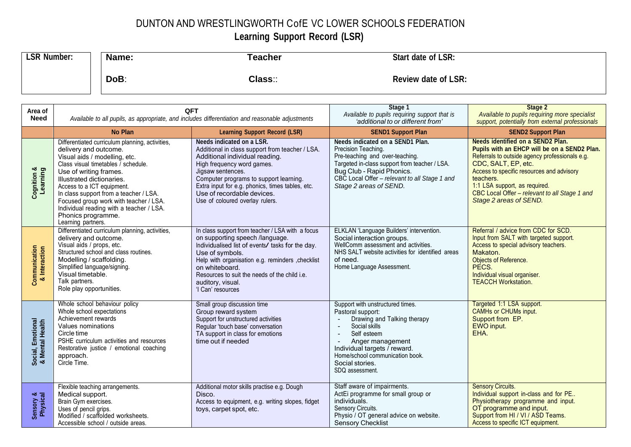## DUNTON AND WRESTLINGWORTH CofE VC LOWER SCHOOLS FEDERATION

## **Learning Support Record (LSR)**

| <b>LSR Number:</b> | Name: | Teacher | Start date of LSR:         |
|--------------------|-------|---------|----------------------------|
|                    | DoB:  | Class:: | <b>Review date of LSR:</b> |

| Area of<br><b>Need</b>               | QFT<br>Available to all pupils, as appropriate, and includes differentiation and reasonable adjustments                                                                                                                                                                                                                                                                                                                                                                                                                                                                                                        |                                                                                                                                                                                                                                                                                                                                  | Stage 1<br>Available to pupils requiring support that is                                                                                                                                                                                                              | Stage 2<br>Available to pupils requiring more specialist                                                                                                                                                                                                                                                                                                             |
|--------------------------------------|----------------------------------------------------------------------------------------------------------------------------------------------------------------------------------------------------------------------------------------------------------------------------------------------------------------------------------------------------------------------------------------------------------------------------------------------------------------------------------------------------------------------------------------------------------------------------------------------------------------|----------------------------------------------------------------------------------------------------------------------------------------------------------------------------------------------------------------------------------------------------------------------------------------------------------------------------------|-----------------------------------------------------------------------------------------------------------------------------------------------------------------------------------------------------------------------------------------------------------------------|----------------------------------------------------------------------------------------------------------------------------------------------------------------------------------------------------------------------------------------------------------------------------------------------------------------------------------------------------------------------|
|                                      | <b>No Plan</b>                                                                                                                                                                                                                                                                                                                                                                                                                                                                                                                                                                                                 | <b>Learning Support Record (LSR)</b>                                                                                                                                                                                                                                                                                             | 'additional to or different from'<br><b>SEND1 Support Plan</b>                                                                                                                                                                                                        | support, potentially from external professionals                                                                                                                                                                                                                                                                                                                     |
| Cognition &<br>Learning              | Differentiated curriculum planning, activities,<br>delivery and outcome.<br>Visual aids / modelling, etc.<br>Class visual timetables / schedule.<br>Use of writing frames.<br>Illustrated dictionaries.<br>Access to a ICT equipment.<br>In class support from a teacher / LSA.<br>Focused group work with teacher / LSA.<br>Individual reading with a teacher / LSA.<br>Phonics programme.<br>Learning partners.                                                                                                                                                                                              | Needs indicated on a LSR.<br>Additional in class support from teacher / LSA.<br>Additional individual reading.<br>High frequency word games.<br>Jigsaw sentences.<br>Computer programs to support learning.<br>Extra input for e.g. phonics, times tables, etc.<br>Use of recordable devices.<br>Use of coloured overlay rulers. | Needs indicated on a SEND1 Plan.<br>Precision Teaching.<br>Pre-teaching and over-teaching.<br>Targeted in-class support from teacher / LSA.<br>Bug Club - Rapid Phonics.<br>CBC Local Offer - relevant to all Stage 1 and<br>Stage 2 areas of SEND.                   | <b>SEND2 Support Plan</b><br><b>Needs identified on a SEND2 Plan.</b><br>Pupils with an EHCP will be on a SEND2 Plan.<br>Referrals to outside agency professionals e.g.<br>CDC, SALT, EP, etc.<br>Access to specific resources and advisory<br>teachers.<br>1:1 LSA support, as required.<br>CBC Local Offer - relevant to all Stage 1 and<br>Stage 2 areas of SEND. |
| Communication<br>& Interaction       | Differentiated curriculum planning, activities,<br>In class support from teacher / LSA with a focus<br>delivery and outcome.<br>on supporting speech /language.<br>Visual aids / props, etc.<br>Individualised list of events/ tasks for the day.<br>Structured school and class routines.<br>Use of symbols.<br>Modelling / scaffolding.<br>Help with organisation e.g. reminders , checklist<br>Simplified language/signing.<br>on whiteboard.<br>Visual timetable.<br>Resources to suit the needs of the child i.e.<br>Talk partners.<br>auditory, visual.<br>Role play opportunities.<br>'I Can' resources |                                                                                                                                                                                                                                                                                                                                  | ELKLAN 'Language Builders' intervention.<br>Social interaction groups.<br>WellComm assessment and activities.<br>NHS SALT website activities for identified areas<br>of need.<br>Home Language Assessment.                                                            | Referral / advice from CDC for SCD.<br>Input from SALT with targeted support.<br>Access to special advisory teachers.<br>Makaton.<br>Objects of Reference.<br>PECS.<br>Individual visual organiser.<br><b>TEACCH Workstation.</b>                                                                                                                                    |
| Social, Emotional<br>& Mental Health | Whole school behaviour policy<br>Small group discussion time<br>Whole school expectations<br>Group reward system<br>Achievement rewards<br>Support for unstructured activities<br>Values nominations<br>Regular 'touch base' conversation<br>Circle time<br>TA support in class for emotions<br>PSHE curriculum activities and resources<br>time out if needed<br>Restorative justice / emotional coaching<br>approach.<br>Circle Time.                                                                                                                                                                        |                                                                                                                                                                                                                                                                                                                                  | Support with unstructured times.<br>Pastoral support:<br>Drawing and Talking therapy<br>Social skills<br>$\sim$<br>Self esteem<br>$\sim$<br>Anger management<br>Individual targets / reward.<br>Home/school communication book.<br>Social stories.<br>SDQ assessment. | Targeted 1:1 LSA support.<br><b>CAMHs or CHUMs input.</b><br>Support from EP.<br>EWO input.<br>EHA.                                                                                                                                                                                                                                                                  |
| Sensory &<br>Physical                | Flexible teaching arrangements.<br>Medical support.<br>Brain Gym exercises.<br>Uses of pencil grips.<br>Modified / scaffolded worksheets.<br>Accessible school / outside areas.                                                                                                                                                                                                                                                                                                                                                                                                                                | Additional motor skills practise e.g. Dough<br>Disco.<br>Access to equipment, e.g. writing slopes, fidget<br>toys, carpet spot, etc.                                                                                                                                                                                             | Staff aware of impairments.<br>ActEi programme for small group or<br>individuals.<br>Sensory Circuits.<br>Physio / OT general advice on website.<br>Sensory Checklist                                                                                                 | <b>Sensory Circuits.</b><br>Individual support in-class and for PE<br>Physiotherapy programme and input.<br>OT programme and input.<br>Support from HI / VI / ASD Teams.<br>Access to specific ICT equipment.                                                                                                                                                        |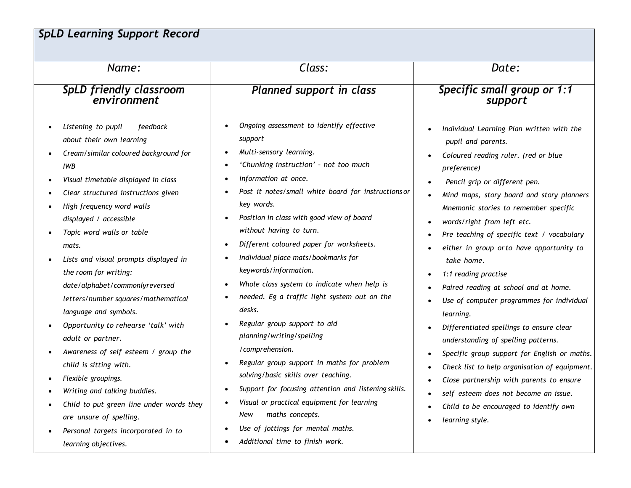## *SpLD Learning Support Record*

| Name:                                                                                                                                                                                                                                                                                                                                                                                                                                                                                                                                                                                                                                                                                                                                                                                                    | Class:                                                                                                                                                                                                                                                                                                                                                                                                                                                                                                                                                                                                                                                                                                                                                                                                                                                                                         | Date:                                                                                                                                                                                                                                                                                                                                                                                                                                                                                                                                                                                                                                                                                                                                                                                                                                                 |  |  |
|----------------------------------------------------------------------------------------------------------------------------------------------------------------------------------------------------------------------------------------------------------------------------------------------------------------------------------------------------------------------------------------------------------------------------------------------------------------------------------------------------------------------------------------------------------------------------------------------------------------------------------------------------------------------------------------------------------------------------------------------------------------------------------------------------------|------------------------------------------------------------------------------------------------------------------------------------------------------------------------------------------------------------------------------------------------------------------------------------------------------------------------------------------------------------------------------------------------------------------------------------------------------------------------------------------------------------------------------------------------------------------------------------------------------------------------------------------------------------------------------------------------------------------------------------------------------------------------------------------------------------------------------------------------------------------------------------------------|-------------------------------------------------------------------------------------------------------------------------------------------------------------------------------------------------------------------------------------------------------------------------------------------------------------------------------------------------------------------------------------------------------------------------------------------------------------------------------------------------------------------------------------------------------------------------------------------------------------------------------------------------------------------------------------------------------------------------------------------------------------------------------------------------------------------------------------------------------|--|--|
| SpLD friendly classroom<br>environment                                                                                                                                                                                                                                                                                                                                                                                                                                                                                                                                                                                                                                                                                                                                                                   | Planned support in class                                                                                                                                                                                                                                                                                                                                                                                                                                                                                                                                                                                                                                                                                                                                                                                                                                                                       | Specific small group or 1:1<br>support                                                                                                                                                                                                                                                                                                                                                                                                                                                                                                                                                                                                                                                                                                                                                                                                                |  |  |
| Listening to pupil<br>feedback<br>about their own learning<br>Cream/similar coloured background for<br><b>IWB</b><br>Visual timetable displayed in class<br>$\bullet$<br>Clear structured instructions given<br>High frequency word walls<br>displayed / accessible<br>Topic word walls or table<br>mats.<br>Lists and visual prompts displayed in<br>the room for writing:<br>date/alphabet/commonlyreversed<br>letters/number squares/mathematical<br>language and symbols.<br>Opportunity to rehearse 'talk' with<br>adult or partner.<br>Awareness of self esteem / group the<br>child is sitting with.<br>Flexible groupings.<br>Writing and talking buddies.<br>Child to put green line under words they<br>are unsure of spelling.<br>Personal targets incorporated in to<br>learning objectives. | Ongoing assessment to identify effective<br>support<br>Multi-sensory learning.<br>'Chunking instruction' - not too much<br>information at once.<br>Post it notes/small white board for instructions or<br>key words.<br>Position in class with good view of board<br>without having to turn.<br>Different coloured paper for worksheets.<br>Individual place mats/bookmarks for<br>keywords/information.<br>Whole class system to indicate when help is<br>needed. Eg a traffic light system out on the<br>desks.<br>Regular group support to aid<br>planning/writing/spelling<br>/comprehension.<br>Regular group support in maths for problem<br>solving/basic skills over teaching.<br>Support for focusing attention and listening skills.<br>Visual or practical equipment for learning<br>maths concepts.<br>New<br>Use of jottings for mental maths.<br>Additional time to finish work. | Individual Learning Plan written with the<br>pupil and parents.<br>Coloured reading ruler. (red or blue<br>preference)<br>Pencil grip or different pen.<br>Mind maps, story board and story planners<br>Mnemonic stories to remember specific<br>words/right from left etc.<br>Pre teaching of specific text / vocabulary<br>either in group or to have opportunity to<br>take home.<br>1:1 reading practise<br>Paired reading at school and at home.<br>Use of computer programmes for individual<br>learning.<br>Differentiated spellings to ensure clear<br>understanding of spelling patterns.<br>Specific group support for English or maths.<br>Check list to help organisation of equipment.<br>Close partnership with parents to ensure<br>self esteem does not become an issue.<br>Child to be encouraged to identify own<br>learning style. |  |  |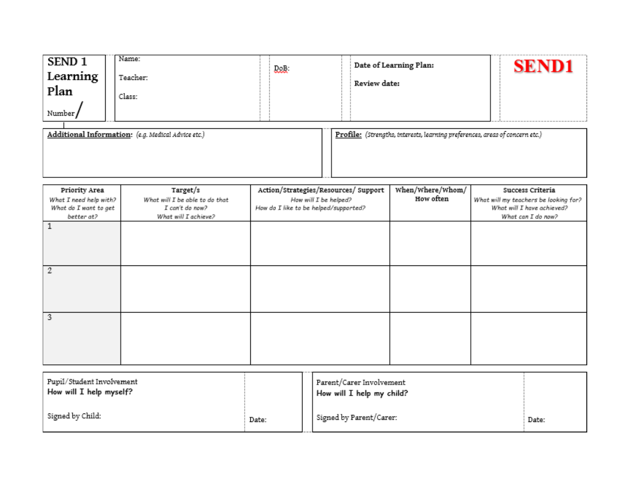| SEND <sub>1</sub><br>Learning<br>Plan<br>Number/ | Name:<br>Teacher:<br>Class:                        | <b>DoB:</b> | Date of Learning Plan:<br>Review date:                                       | <b>SEND1</b> |
|--------------------------------------------------|----------------------------------------------------|-------------|------------------------------------------------------------------------------|--------------|
|                                                  | Additional Information: (e.g. Medical Advice etc.) |             | Profile: (Strengths, interests, learning preferences, areas of concern etc.) |              |

| Priority Area          | Target/s                       | Action/Strategies/Resources/ Support  | When/Where/Whom/ | Success Criteria                      |
|------------------------|--------------------------------|---------------------------------------|------------------|---------------------------------------|
| What I need help with? | What will I be able to do that | How will I be helped?                 | How often        | What will my teachers be looking for? |
| What do I want to get  | I can't do now?                | How do I like to be helped/supported? |                  | What will I have achieved?            |
| better at?             | What will I achieve?           |                                       |                  | What can I do now?                    |
|                        |                                |                                       |                  |                                       |
|                        |                                |                                       |                  |                                       |
|                        |                                |                                       |                  |                                       |
|                        |                                |                                       |                  |                                       |
|                        |                                |                                       |                  |                                       |
| 2                      |                                |                                       |                  |                                       |
|                        |                                |                                       |                  |                                       |
|                        |                                |                                       |                  |                                       |
|                        |                                |                                       |                  |                                       |
|                        |                                |                                       |                  |                                       |
| 3                      |                                |                                       |                  |                                       |
|                        |                                |                                       |                  |                                       |
|                        |                                |                                       |                  |                                       |
|                        |                                |                                       |                  |                                       |
|                        |                                |                                       |                  |                                       |
|                        |                                |                                       |                  |                                       |

| Pupil/Student Involvement<br>How will I help myself? |       | Parent/Carer Involvement<br>How will I help my child? |       |
|------------------------------------------------------|-------|-------------------------------------------------------|-------|
| Signed by Child:                                     | Date: | Signed by Parent/Carer:                               | Date: |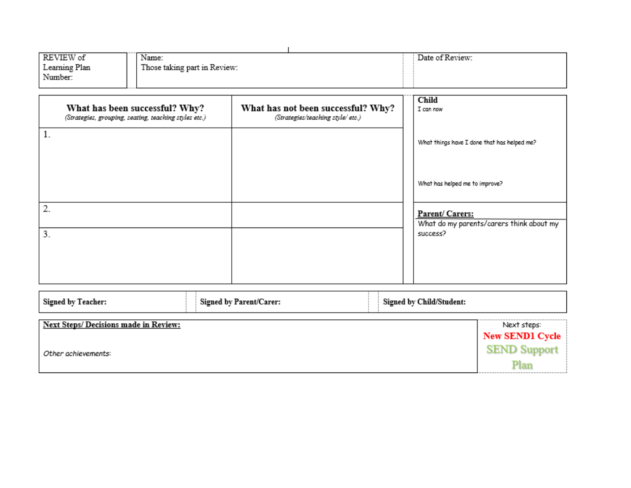| REVIEW of     | Name:                        | Date of Review: |
|---------------|------------------------------|-----------------|
| Learning Plan | Those taking part in Review: |                 |
| Number:       |                              |                 |
|               |                              |                 |

| What has been successful? Why?<br>(Strategies, grouping, seating, teaching styles etc.) | What has not been successful? Why?<br>(Strategies/teaching style/ etc.) | Child<br>I can now                                          |
|-----------------------------------------------------------------------------------------|-------------------------------------------------------------------------|-------------------------------------------------------------|
| 1.                                                                                      |                                                                         | What things have I done that has helped me?                 |
|                                                                                         |                                                                         | What has helped me to improve?                              |
| 2.                                                                                      |                                                                         | Parent/ Carers:<br>What do my parents/carers think about my |
| 3.                                                                                      |                                                                         | success?                                                    |
|                                                                                         |                                                                         |                                                             |

| Signed by Teacher:                    | Signed by Parent/Carer: | <b>Signed by Child/Student:</b> |                                       |
|---------------------------------------|-------------------------|---------------------------------|---------------------------------------|
| Next Steps/ Decisions made in Review: |                         |                                 | Next steps:<br><b>New SEND1 Cycle</b> |
| Other achievements:                   |                         |                                 | <b>SEND Support</b>                   |
|                                       |                         |                                 |                                       |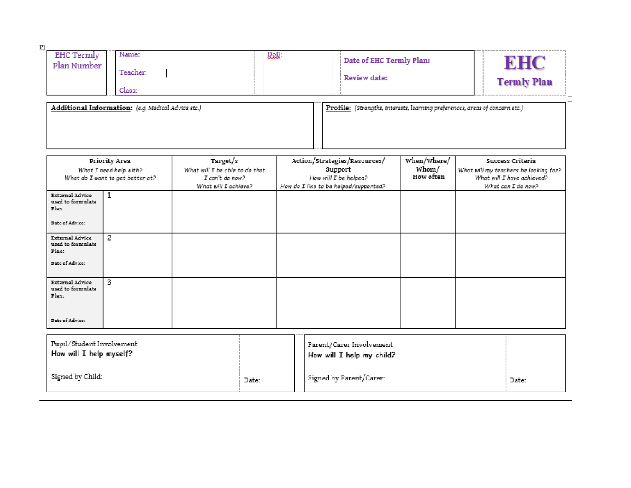| <b>EHC Termly</b><br>Plan Number | Name:<br>Teacher:<br>Class:                        | <b>DoB:</b> | Date of EHC Termly Plan:<br>Review date:                                     | <b>Termly Plan</b> |
|----------------------------------|----------------------------------------------------|-------------|------------------------------------------------------------------------------|--------------------|
|                                  | Additional Information: (e.g. Medical Advice etc.) |             | Profile: (Strengths, interests, learning preferences, areas of concern etc.) |                    |

| Priority Area                              | Target/s                       | Action/Strategies/Resources/          |           | Success Criteria                      |
|--------------------------------------------|--------------------------------|---------------------------------------|-----------|---------------------------------------|
| What I need help with?                     | What will I be able to do that | Support                               | whom/     | What will my teachers be looking for? |
| What do I want to get better at?           | I can't do now?                | How will I be helped?                 | How often | What will I have achieved?            |
|                                            | What will I achieve?           | How do I like to be helped/supported? |           | What can I do now?                    |
| External Advice                            |                                |                                       |           |                                       |
| used to formulate<br>Plan.                 |                                |                                       |           |                                       |
|                                            |                                |                                       |           |                                       |
| Date of Advice:                            |                                |                                       |           |                                       |
|                                            |                                |                                       |           |                                       |
| 2<br>External Advice<br>used to formulate  |                                |                                       |           |                                       |
| Plan:                                      |                                |                                       |           |                                       |
|                                            |                                |                                       |           |                                       |
| Date of Advice:                            |                                |                                       |           |                                       |
|                                            |                                |                                       |           |                                       |
| 3<br>External Advice<br>used to formulate  |                                |                                       |           |                                       |
| Plan:                                      |                                |                                       |           |                                       |
|                                            |                                |                                       |           |                                       |
|                                            |                                |                                       |           |                                       |
| Date of Advice:                            |                                |                                       |           |                                       |
|                                            |                                |                                       |           |                                       |
| the state of the state of the state of the |                                |                                       |           |                                       |

| Pupil/Student Involvement<br>How will I help myself? |       | Parent/Carer Involvement<br>How will I help my child? |       |
|------------------------------------------------------|-------|-------------------------------------------------------|-------|
| Signed by Child:                                     | Date: | Signed by Parent/Carer:                               | Date: |

 $\overline{\underline{\mathbf{r}}}$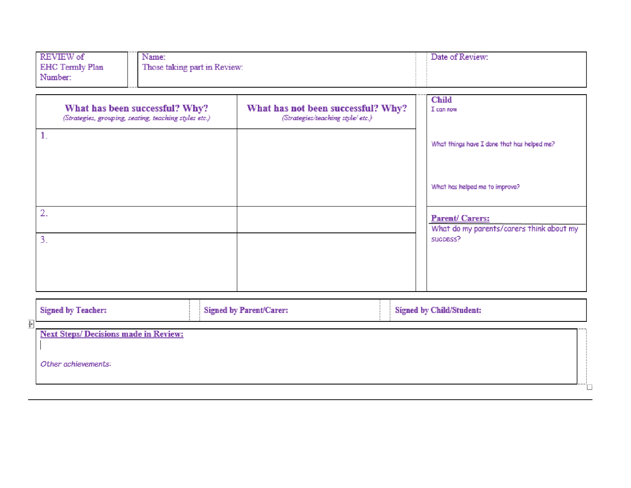| REVIEW of<br><b>EHC Termly Plan</b><br>Number: | Name:<br>Those taking part in Review: | Date of Review: |
|------------------------------------------------|---------------------------------------|-----------------|
|                                                |                                       |                 |

|              | What has been successful? Why?<br>(Strategies, grouping, seating, teaching styles etc.) | What has not been successful? Why?<br>(Strategies/teaching style/ etc.) | <b>Child</b><br>I can now                                         |
|--------------|-----------------------------------------------------------------------------------------|-------------------------------------------------------------------------|-------------------------------------------------------------------|
| 1.           |                                                                                         |                                                                         | What things have I done that has helped me?                       |
|              |                                                                                         |                                                                         | What has helped me to improve?                                    |
| $\mathbf{2}$ |                                                                                         |                                                                         | <b>Parent/Carers:</b><br>What do my parents/carers think about my |
| 3.           |                                                                                         |                                                                         | SUCCESS?                                                          |
|              |                                                                                         |                                                                         |                                                                   |

| <b>Signed by Teacher:</b>                   | Signed by Parent/Carer: | <b>Signed by Child/Student:</b> |  |
|---------------------------------------------|-------------------------|---------------------------------|--|
| <b>Next Steps/Decisions made in Review:</b> |                         |                                 |  |
| Other achievements:                         |                         |                                 |  |
|                                             |                         |                                 |  |